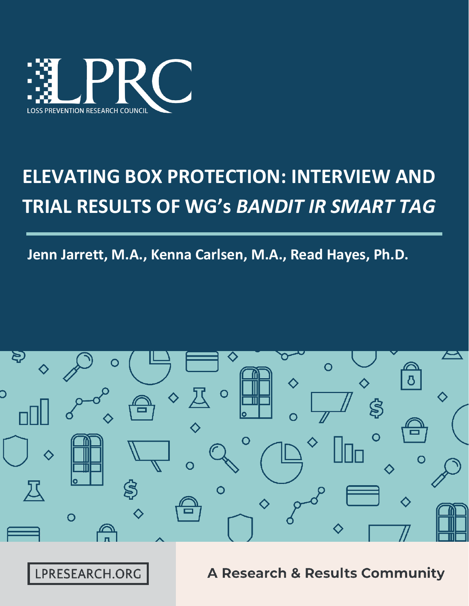

# **ELEVATING BOX PROTECTION: INTERVIEW AND TRIAL RESULTS OF WG's** *BANDIT IR SMART TAG*

**Jenn Jarrett, M.A., Kenna Carlsen, M.A., Read Hayes, Ph.D.**



LPRESEARCH.ORG

**A Research & Results Community**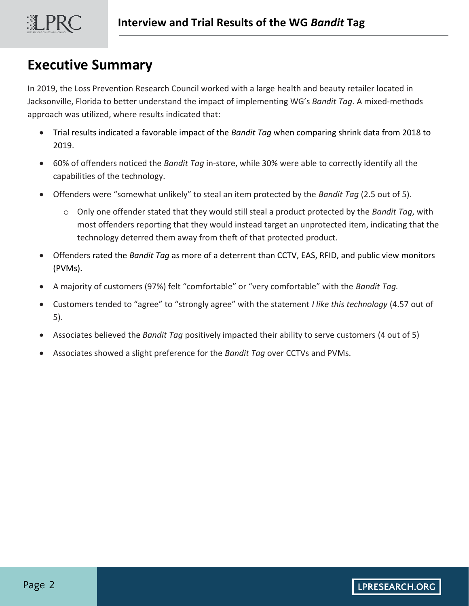# **Executive Summary**

In 2019, the Loss Prevention Research Council worked with a large health and beauty retailer located in Jacksonville, Florida to better understand the impact of implementing WG's *Bandit Tag*. A mixed-methods approach was utilized, where results indicated that:

- Trial results indicated a favorable impact of the *Bandit Tag* when comparing shrink data from 2018 to 2019.
- 60% of offenders noticed the *Bandit Tag* in-store, while 30% were able to correctly identify all the capabilities of the technology.
- Offenders were "somewhat unlikely" to steal an item protected by the *Bandit Tag* (2.5 out of 5).
	- o Only one offender stated that they would still steal a product protected by the *Bandit Tag*, with most offenders reporting that they would instead target an unprotected item, indicating that the technology deterred them away from theft of that protected product.
- Offenders rated the *Bandit Tag* as more of a deterrent than CCTV, EAS, RFID, and public view monitors (PVMs).
- A majority of customers (97%) felt "comfortable" or "very comfortable" with the *Bandit Tag.*
- Customers tended to "agree" to "strongly agree" with the statement *I like this technology* (4.57 out of 5).
- Associates believed the *Bandit Tag* positively impacted their ability to serve customers (4 out of 5)
- Associates showed a slight preference for the *Bandit Tag* over CCTVs and PVMs.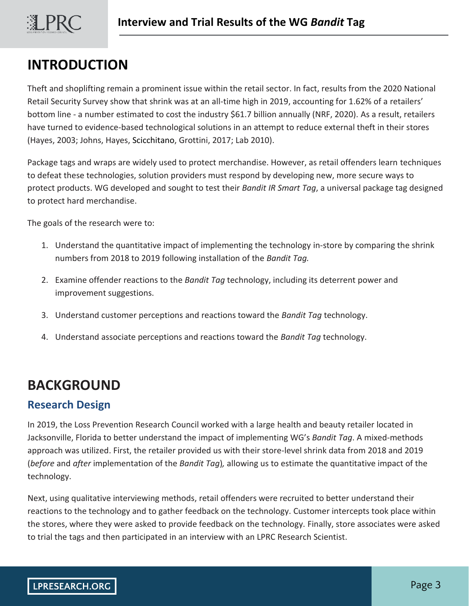

# **INTRODUCTION**

Theft and shoplifting remain a prominent issue within the retail sector. In fact, results from the 2020 National Retail Security Survey show that shrink was at an all-time high in 2019, accounting for 1.62% of a retailers' bottom line - a number estimated to cost the industry \$61.7 billion annually (NRF, 2020). As a result, retailers have turned to evidence-based technological solutions in an attempt to reduce external theft in their stores (Hayes, 2003; Johns, Hayes, Scicchitano, Grottini, 2017; Lab 2010).

Package tags and wraps are widely used to protect merchandise. However, as retail offenders learn techniques to defeat these technologies, solution providers must respond by developing new, more secure ways to protect products. WG developed and sought to test their *Bandit IR Smart Tag*, a universal package tag designed to protect hard merchandise.

The goals of the research were to:

- 1. Understand the quantitative impact of implementing the technology in-store by comparing the shrink numbers from 2018 to 2019 following installation of the *Bandit Tag.*
- 2. Examine offender reactions to the *Bandit Tag* technology, including its deterrent power and improvement suggestions.
- 3. Understand customer perceptions and reactions toward the *Bandit Tag* technology.
- 4. Understand associate perceptions and reactions toward the *Bandit Tag* technology.

# **BACKGROUND**

## **Research Design**

In 2019, the Loss Prevention Research Council worked with a large health and beauty retailer located in Jacksonville, Florida to better understand the impact of implementing WG's *Bandit Tag*. A mixed-methods approach was utilized. First, the retailer provided us with their store-level shrink data from 2018 and 2019 (*before* and *after* implementation of the *Bandit Tag*)*,* allowing us to estimate the quantitative impact of the technology.

Next, using qualitative interviewing methods, retail offenders were recruited to better understand their reactions to the technology and to gather feedback on the technology. Customer intercepts took place within the stores, where they were asked to provide feedback on the technology. Finally, store associates were asked to trial the tags and then participated in an interview with an LPRC Research Scientist.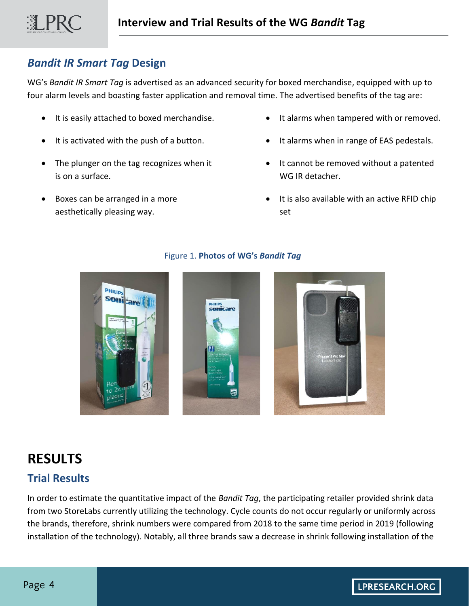## *Bandit IR Smart Tag* **Design**

LPRC

WG's *Bandit IR Smart Tag* is advertised as an advanced security for boxed merchandise, equipped with up to four alarm levels and boasting faster application and removal time. The advertised benefits of the tag are:

- It is easily attached to boxed merchandise.
- It is activated with the push of a button.
- The plunger on the tag recognizes when it is on a surface.
- Boxes can be arranged in a more aesthetically pleasing way.
- It alarms when tampered with or removed.
- It alarms when in range of EAS pedestals.
- It cannot be removed without a patented WG IR detacher.
- It is also available with an active RFID chip set



#### Figure 1. **Photos of WG's** *Bandit Tag*

# **RESULTS**

## **Trial Results**

In order to estimate the quantitative impact of the *Bandit Tag*, the participating retailer provided shrink data from two StoreLabs currently utilizing the technology. Cycle counts do not occur regularly or uniformly across the brands, therefore, shrink numbers were compared from 2018 to the same time period in 2019 (following installation of the technology). Notably, all three brands saw a decrease in shrink following installation of the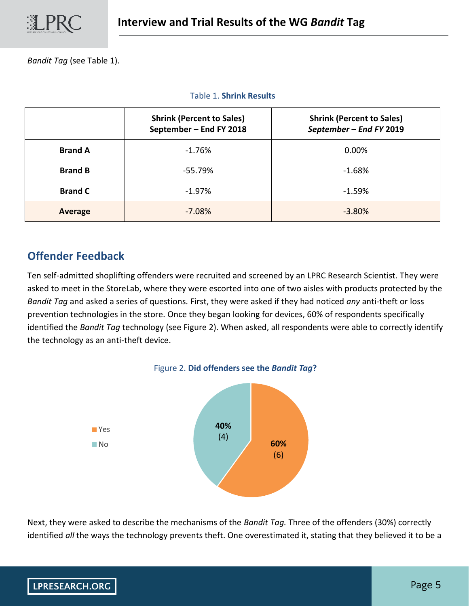*Bandit Tag* (see Table 1).

Table 1. **Shrink Results**

|                | <b>Shrink (Percent to Sales)</b><br>September - End FY 2018 | <b>Shrink (Percent to Sales)</b><br>September - End FY 2019 |
|----------------|-------------------------------------------------------------|-------------------------------------------------------------|
| <b>Brand A</b> | $-1.76%$                                                    | 0.00%                                                       |
| <b>Brand B</b> | -55.79%                                                     | $-1.68%$                                                    |
| <b>Brand C</b> | $-1.97\%$                                                   | $-1.59%$                                                    |
| Average        | $-7.08%$                                                    | $-3.80%$                                                    |

## **Offender Feedback**

Ten self-admitted shoplifting offenders were recruited and screened by an LPRC Research Scientist. They were asked to meet in the StoreLab, where they were escorted into one of two aisles with products protected by the *Bandit Tag* and asked a series of questions*.* First, they were asked if they had noticed *any* anti-theft or loss prevention technologies in the store. Once they began looking for devices, 60% of respondents specifically identified the *Bandit Tag* technology (see Figure 2). When asked, all respondents were able to correctly identify the technology as an anti-theft device.



Next, they were asked to describe the mechanisms of the *Bandit Tag.* Three of the offenders (30%) correctly identified *all* the ways the technology prevents theft. One overestimated it, stating that they believed it to be a

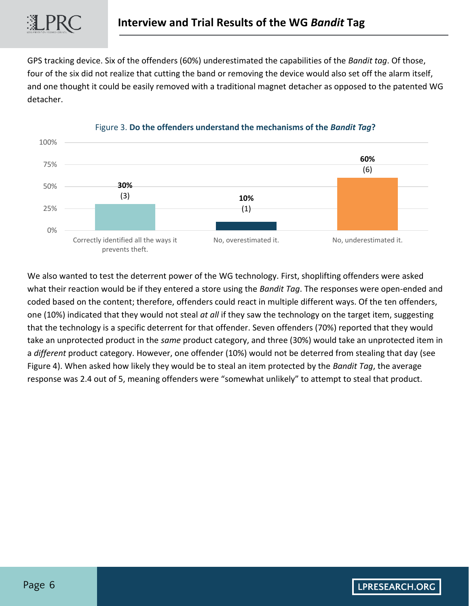GPS tracking device. Six of the offenders (60%) underestimated the capabilities of the *Bandit tag*. Of those, four of the six did not realize that cutting the band or removing the device would also set off the alarm itself, and one thought it could be easily removed with a traditional magnet detacher as opposed to the patented WG detacher.



#### Figure 3. **Do the offenders understand the mechanisms of the** *Bandit Tag***?**

We also wanted to test the deterrent power of the WG technology. First, shoplifting offenders were asked what their reaction would be if they entered a store using the *Bandit Tag*. The responses were open-ended and coded based on the content; therefore, offenders could react in multiple different ways. Of the ten offenders, one (10%) indicated that they would not steal *at all* if they saw the technology on the target item, suggesting that the technology is a specific deterrent for that offender. Seven offenders (70%) reported that they would take an unprotected product in the *same* product category, and three (30%) would take an unprotected item in a *different* product category. However, one offender (10%) would not be deterred from stealing that day (see Figure 4). When asked how likely they would be to steal an item protected by the *Bandit Tag*, the average response was 2.4 out of 5, meaning offenders were "somewhat unlikely" to attempt to steal that product.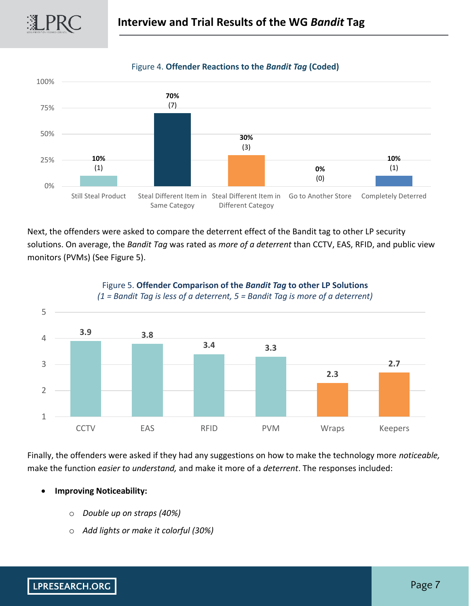



#### Figure 4. **Offender Reactions to the** *Bandit Tag* **(Coded)**

Next, the offenders were asked to compare the deterrent effect of the Bandit tag to other LP security solutions. On average, the *Bandit Tag* was rated as *more of a deterrent* than CCTV, EAS, RFID, and public view

Different Categoy

Same Categoy

monitors (PVMs) (See Figure 5).



Figure 5. **Offender Comparison of the** *Bandit Tag* **to other LP Solutions** 

Finally, the offenders were asked if they had any suggestions on how to make the technology more *noticeable,*  make the function *easier to understand,* and make it more of a *deterrent*. The responses included:

- **Improving Noticeability:**
	- o *Double up on straps (40%)*
	- o *Add lights or make it colorful (30%)*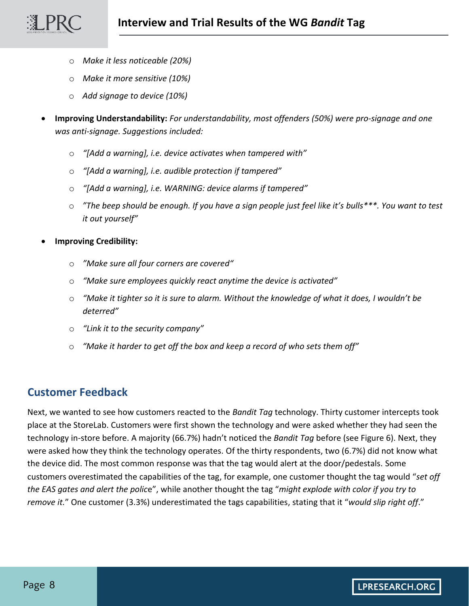- o *Make it less noticeable (20%)*
- o *Make it more sensitive (10%)*
- o *Add signage to device (10%)*
- **Improving Understandability:** *For understandability, most offenders (50%) were pro-signage and one was anti-signage. Suggestions included:*
	- o *"[Add a warning], i.e. device activates when tampered with"*
	- o *"[Add a warning], i.e. audible protection if tampered"*
	- o *"[Add a warning], i.e. WARNING: device alarms if tampered"*
	- o *"The beep should be enough. If you have a sign people just feel like it's bulls\*\*\*. You want to test it out yourself"*
- **Improving Credibility:**

③LPRO

- o *"Make sure all four corners are covered"*
- o *"Make sure employees quickly react anytime the device is activated"*
- o *"Make it tighter so it is sure to alarm. Without the knowledge of what it does, I wouldn't be deterred"*
- o *"Link it to the security company"*
- o *"Make it harder to get off the box and keep a record of who sets them off"*

### **Customer Feedback**

Next, we wanted to see how customers reacted to the *Bandit Tag* technology. Thirty customer intercepts took place at the StoreLab. Customers were first shown the technology and were asked whether they had seen the technology in-store before. A majority (66.7%) hadn't noticed the *Bandit Tag* before (see Figure 6). Next, they were asked how they think the technology operates. Of the thirty respondents, two (6.7%) did not know what the device did. The most common response was that the tag would alert at the door/pedestals. Some customers overestimated the capabilities of the tag, for example, one customer thought the tag would "*set off the EAS gates and alert the polic*e", while another thought the tag "*might explode with color if you try to remove it.*" One customer (3.3%) underestimated the tags capabilities, stating that it "*would slip right off*."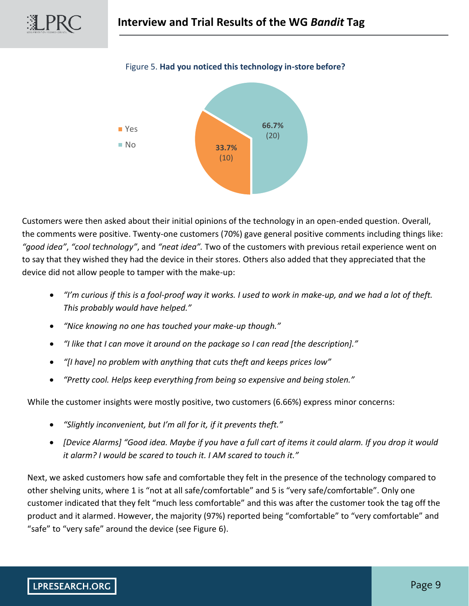

#### Figure 5. **Had you noticed this technology in-store before?**

Customers were then asked about their initial opinions of the technology in an open-ended question. Overall, the comments were positive. Twenty-one customers (70%) gave general positive comments including things like: *"good idea"*, *"cool technology"*, and *"neat idea".* Two of the customers with previous retail experience went on to say that they wished they had the device in their stores. Others also added that they appreciated that the device did not allow people to tamper with the make-up:

- *"I'm curious if this is a fool-proof way it works. I used to work in make-up, and we had a lot of theft. This probably would have helped."*
- *"Nice knowing no one has touched your make-up though."*
- *"I like that I can move it around on the package so I can read [the description]."*
- *"[I have] no problem with anything that cuts theft and keeps prices low"*
- *"Pretty cool. Helps keep everything from being so expensive and being stolen."*

While the customer insights were mostly positive, two customers (6.66%) express minor concerns:

- *"Slightly inconvenient, but I'm all for it, if it prevents theft."*
- *[Device Alarms] "Good idea. Maybe if you have a full cart of items it could alarm. If you drop it would it alarm? I would be scared to touch it. I AM scared to touch it."*

Next, we asked customers how safe and comfortable they felt in the presence of the technology compared to other shelving units, where 1 is "not at all safe/comfortable" and 5 is "very safe/comfortable". Only one customer indicated that they felt "much less comfortable" and this was after the customer took the tag off the product and it alarmed. However, the majority (97%) reported being "comfortable" to "very comfortable" and "safe" to "very safe" around the device (see Figure 6).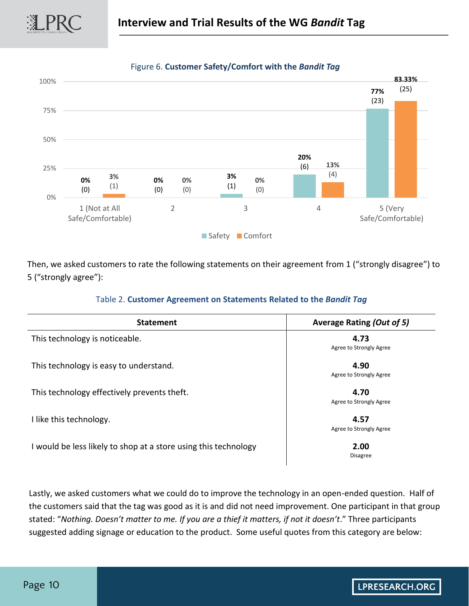



Figure 6. **Customer Safety/Comfort with the** *Bandit Tag*

Then, we asked customers to rate the following statements on their agreement from 1 ("strongly disagree") to 5 ("strongly agree"):

| Table 2. Customer Agreement on Statements Related to the Bandit Tag |  |  |  |  |  |
|---------------------------------------------------------------------|--|--|--|--|--|
|---------------------------------------------------------------------|--|--|--|--|--|

| <b>Statement</b>                                                | <b>Average Rating (Out of 5)</b><br>4.73<br>Agree to Strongly Agree |  |
|-----------------------------------------------------------------|---------------------------------------------------------------------|--|
| This technology is noticeable.                                  |                                                                     |  |
| This technology is easy to understand.                          | 4.90<br>Agree to Strongly Agree                                     |  |
| This technology effectively prevents theft.                     | 4.70<br>Agree to Strongly Agree                                     |  |
| I like this technology.                                         | 4.57<br>Agree to Strongly Agree                                     |  |
| I would be less likely to shop at a store using this technology | 2.00<br>Disagree                                                    |  |

Lastly, we asked customers what we could do to improve the technology in an open-ended question. Half of the customers said that the tag was good as it is and did not need improvement. One participant in that group stated: "*Nothing. Doesn't matter to me. If you are a thief it matters, if not it doesn't*." Three participants suggested adding signage or education to the product. Some useful quotes from this category are below:

瀷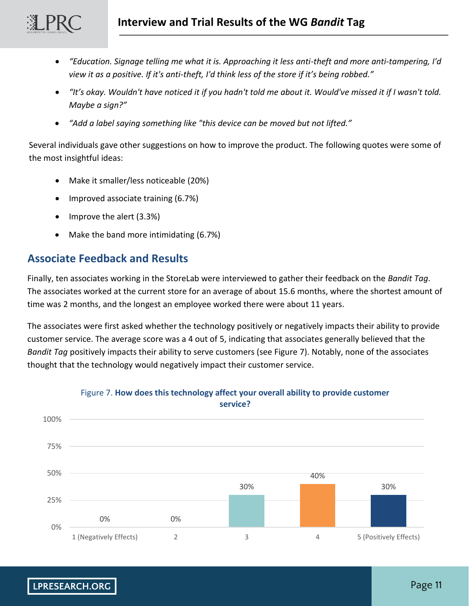- *"Education. Signage telling me what it is. Approaching it less anti-theft and more anti-tampering, I'd view it as a positive. If it's anti-theft, I'd think less of the store if it's being robbed."*
- *"It's okay. Wouldn't have noticed it if you hadn't told me about it. Would've missed it if I wasn't told. Maybe a sign?"*
- *"Add a label saying something like "this device can be moved but not lifted."*

Several individuals gave other suggestions on how to improve the product. The following quotes were some of the most insightful ideas:

- Make it smaller/less noticeable (20%)
- Improved associate training (6.7%)
- Improve the alert (3.3%)
- Make the band more intimidating (6.7%)

## **Associate Feedback and Results**

Finally, ten associates working in the StoreLab were interviewed to gather their feedback on the *Bandit Tag*. The associates worked at the current store for an average of about 15.6 months, where the shortest amount of time was 2 months, and the longest an employee worked there were about 11 years.

The associates were first asked whether the technology positively or negatively impacts their ability to provide customer service. The average score was a 4 out of 5, indicating that associates generally believed that the *Bandit Tag* positively impacts their ability to serve customers (see Figure 7). Notably, none of the associates thought that the technology would negatively impact their customer service.



#### Figure 7. **How does this technology affect your overall ability to provide customer service?**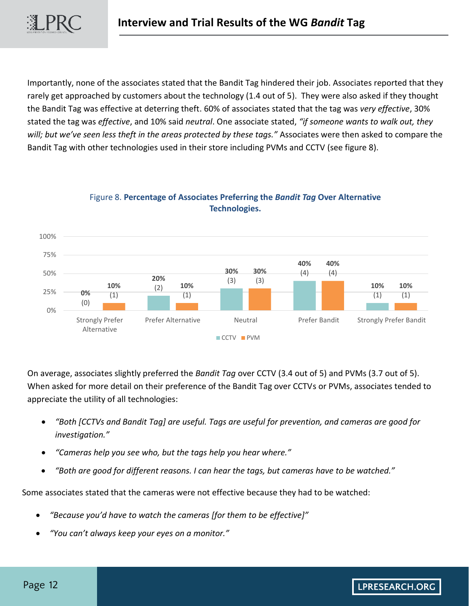Importantly, none of the associates stated that the Bandit Tag hindered their job. Associates reported that they rarely get approached by customers about the technology (1.4 out of 5). They were also asked if they thought the Bandit Tag was effective at deterring theft. 60% of associates stated that the tag was *very effective*, 30% stated the tag was *effective*, and 10% said *neutral*. One associate stated, *"if someone wants to walk out, they will; but we've seen less theft in the areas protected by these tags."* Associates were then asked to compare the Bandit Tag with other technologies used in their store including PVMs and CCTV (see figure 8).



#### Figure 8. **Percentage of Associates Preferring the** *Bandit Tag* **Over Alternative Technologies.**

On average, associates slightly preferred the *Bandit Tag* over CCTV (3.4 out of 5) and PVMs (3.7 out of 5). When asked for more detail on their preference of the Bandit Tag over CCTVs or PVMs, associates tended to appreciate the utility of all technologies:

- *"Both [CCTVs and Bandit Tag] are useful. Tags are useful for prevention, and cameras are good for investigation."*
- *"Cameras help you see who, but the tags help you hear where."*
- *"Both are good for different reasons. I can hear the tags, but cameras have to be watched."*

Some associates stated that the cameras were not effective because they had to be watched:

- *"Because you'd have to watch the cameras [for them to be effective]"*
- *"You can't always keep your eyes on a monitor."*